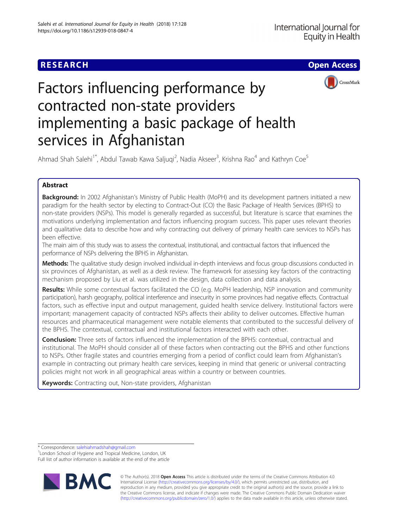

# Factors influencing performance by contracted non-state providers implementing a basic package of health services in Afghanistan

Ahmad Shah Salehi<sup>1\*</sup>, Abdul Tawab Kawa Saljuqi<sup>2</sup>, Nadia Akseer<sup>3</sup>, Krishna Rao<sup>4</sup> and Kathryn Coe<sup>5</sup>

## Abstract

Background: In 2002 Afghanistan's Ministry of Public Health (MoPH) and its development partners initiated a new paradigm for the health sector by electing to Contract-Out (CO) the Basic Package of Health Services (BPHS) to non-state providers (NSPs). This model is generally regarded as successful, but literature is scarce that examines the motivations underlying implementation and factors influencing program success. This paper uses relevant theories and qualitative data to describe how and why contracting out delivery of primary health care services to NSPs has been effective.

The main aim of this study was to assess the contextual, institutional, and contractual factors that influenced the performance of NSPs delivering the BPHS in Afghanistan.

Methods: The qualitative study design involved individual in-depth interviews and focus group discussions conducted in six provinces of Afghanistan, as well as a desk review. The framework for assessing key factors of the contracting mechanism proposed by Liu et al. was utilized in the design, data collection and data analysis.

Results: While some contextual factors facilitated the CO (e.g. MoPH leadership, NSP innovation and community participation), harsh geography, political interference and insecurity in some provinces had negative effects. Contractual factors, such as effective input and output management, guided health service delivery. Institutional factors were important; management capacity of contracted NSPs affects their ability to deliver outcomes. Effective human resources and pharmaceutical management were notable elements that contributed to the successful delivery of the BPHS. The contextual, contractual and institutional factors interacted with each other.

**Conclusion:** Three sets of factors influenced the implementation of the BPHS: contextual, contractual and institutional. The MoPH should consider all of these factors when contracting out the BPHS and other functions to NSPs. Other fragile states and countries emerging from a period of conflict could learn from Afghanistan's example in contracting out primary health care services, keeping in mind that generic or universal contracting policies might not work in all geographical areas within a country or between countries.

Keywords: Contracting out, Non-state providers, Afghanistan

\* Correspondence: [salehiahmadshah@gmail.com](mailto:salehiahmadshah@gmail.com) <sup>1</sup>

<sup>1</sup> London School of Hygiene and Tropical Medicine, London, UK Full list of author information is available at the end of the article



© The Author(s). 2018 Open Access This article is distributed under the terms of the Creative Commons Attribution 4.0 International License [\(http://creativecommons.org/licenses/by/4.0/](http://creativecommons.org/licenses/by/4.0/)), which permits unrestricted use, distribution, and reproduction in any medium, provided you give appropriate credit to the original author(s) and the source, provide a link to the Creative Commons license, and indicate if changes were made. The Creative Commons Public Domain Dedication waiver [\(http://creativecommons.org/publicdomain/zero/1.0/](http://creativecommons.org/publicdomain/zero/1.0/)) applies to the data made available in this article, unless otherwise stated.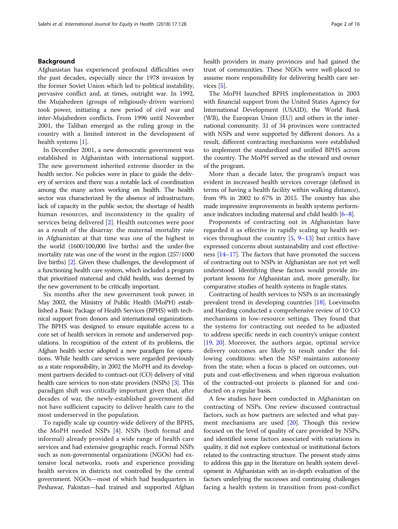## Background

Afghanistan has experienced profound difficulties over the past decades, especially since the 1978 invasion by the former Soviet Union which led to political instability, pervasive conflict and, at times, outright war. In 1992, the Mujahedeen (groups of religiously-driven warriors) took power, initiating a new period of civil war and inter-Mujahedeen conflicts. From 1996 until November 2001, the Taliban emerged as the ruling group in the country with a limited interest in the development of health systems [\[1](#page-15-0)].

In December 2001, a new democratic government was established in Afghanistan with international support. The new government inherited extreme disorder in the health sector. No policies were in place to guide the delivery of services and there was a notable lack of coordination among the many actors working on health. The health sector was characterized by the absence of infrastructure, lack of capacity in the public sector, the shortage of health human resources, and inconsistency in the quality of services being delivered [\[2](#page-15-0)]. Health outcomes were poor as a result of the disarray: the maternal mortality rate in Afghanistan at that time was one of the highest in the world (1600/100,000 live births) and the under-five mortality rate was one of the worst in the region (257/1000 live births) [\[2\]](#page-15-0). Given these challenges, the development of a functioning health care system, which included a program that prioritized maternal and child health, was deemed by the new government to be critically important.

Six months after the new government took power, in May 2002, the Ministry of Public Health (MoPH) established a Basic Package of Health Services (BPHS) with technical support from donors and international organizations. The BPHS was designed to ensure equitable access to a core set of health services in remote and underserved populations. In recognition of the extent of its problems, the Afghan health sector adopted a new paradigm for operations. While health care services were regarded previously as a state responsibility, in 2002 the MoPH and its development partners decided to contract-out (CO) delivery of vital health care services to non-state providers (NSPs) [\[3\]](#page-15-0). This paradigm shift was critically important given that, after decades of war, the newly-established government did not have sufficient capacity to deliver health care to the most underserved in the population.

To rapidly scale up country-wide delivery of the BPHS, the MoPH needed NSPs [[4\]](#page-15-0). NSPs (both formal and informal) already provided a wide range of health care services and had extensive geographic reach. Formal NSPs such as non-governmental organizations (NGOs) had extensive local networks, roots and experience providing health services in districts not controlled by the central government. NGOs—most of which had headquarters in Peshawar, Pakistan—had trained and supported Afghan health providers in many provinces and had gained the trust of communities. These NGOs were well-placed to assume more responsibility for delivering health care services [[5](#page-15-0)].

The MoPH launched BPHS implementation in 2003 with financial support from the United States Agency for International Development (USAID), the World Bank (WB), the European Union (EU) and others in the international community. 31 of 34 provinces were contracted with NSPs and were supported by different donors. As a result, different contracting mechanisms were established to implement the standardized and unified BPHS across the country. The MoPH served as the steward and owner of the program.

More than a decade later, the program's impact was evident in increased health services coverage (defined in terms of having a health facility within walking distance), from 9% in 2002 to 67% in 2015. The country has also made impressive improvements in health systems performance indicators including maternal and child health [\[6](#page-15-0)–[8](#page-15-0)].

Proponents of contracting out in Afghanistan have regarded it as effective in rapidly scaling up health services throughout the country  $[5, 9-13]$  $[5, 9-13]$  $[5, 9-13]$  $[5, 9-13]$  $[5, 9-13]$  $[5, 9-13]$  but critics have expressed concerns about sustainability and cost effectiveness [\[14](#page-15-0)–[17](#page-15-0)]. The factors that have promoted the success of contracting out to NSPs in Afghanistan are not yet well understood. Identifying these factors would provide important lessons for Afghanistan and, more generally, for comparative studies of health systems in fragile states.

Contracting of health services to NSPs is an increasingly prevalent trend in developing countries [[18](#page-15-0)]. Loevinsohn and Harding conducted a comprehensive review of 10 CO mechanisms in low-resource settings. They found that the systems for contracting out needed to be adjusted to address specific needs in each country's unique context [[19](#page-15-0), [20\]](#page-15-0). Moreover, the authors argue, optimal service delivery outcomes are likely to result under the following conditions: when the NSP maintains autonomy from the state; when a focus is placed on outcomes, outputs and cost-effectiveness; and when rigorous evaluation of the contracted-out projects is planned for and conducted on a regular basis.

A few studies have been conducted in Afghanistan on contracting of NSPs. One review discussed contractual factors, such as how partners are selected and what payment mechanisms are used [\[20\]](#page-15-0). Though this review focused on the level of quality of care provided by NSPs, and identified some factors associated with variations in quality, it did not explore contextual or institutional factors related to the contracting structure. The present study aims to address this gap in the literature on health system development in Afghanistan with an in-depth evaluation of the factors underlying the successes and continuing challenges facing a health system in transition from post-conflict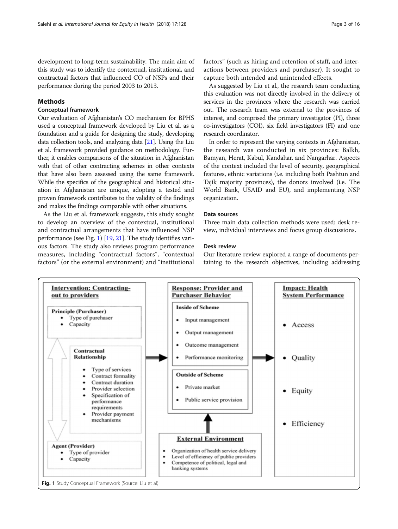development to long-term sustainability. The main aim of this study was to identify the contextual, institutional, and contractual factors that influenced CO of NSPs and their performance during the period 2003 to 2013.

## Methods

## Conceptual framework

Our evaluation of Afghanistan's CO mechanism for BPHS used a conceptual framework developed by Liu et al. as a foundation and a guide for designing the study, developing data collection tools, and analyzing data [[21](#page-15-0)]. Using the Liu et al. framework provided guidance on methodology. Further, it enables comparisons of the situation in Afghanistan with that of other contracting schemes in other contexts that have also been assessed using the same framework. While the specifics of the geographical and historical situation in Afghanistan are unique, adopting a tested and proven framework contributes to the validity of the findings and makes the findings comparable with other situations.

As the Liu et al. framework suggests, this study sought to develop an overview of the contextual, institutional and contractual arrangements that have influenced NSP performance (see Fig. 1) [[19](#page-15-0), [21\]](#page-15-0). The study identifies various factors. The study also reviews program performance measures, including "contractual factors", "contextual factors" (or the external environment) and "institutional factors" (such as hiring and retention of staff, and interactions between providers and purchaser). It sought to capture both intended and unintended effects.

As suggested by Liu et al., the research team conducting this evaluation was not directly involved in the delivery of services in the provinces where the research was carried out. The research team was external to the provinces of interest, and comprised the primary investigator (PI), three co-investigators (COI), six field investigators (FI) and one research coordinator.

In order to represent the varying contexts in Afghanistan, the research was conducted in six provinces: Balkh, Bamyan, Herat, Kabul, Kandahar, and Nangarhar. Aspects of the context included the level of security, geographical features, ethnic variations (i.e. including both Pashtun and Tajik majority provinces), the donors involved (i.e. The World Bank, USAID and EU), and implementing NSP organization.

#### Data sources

Three main data collection methods were used: desk review, individual interviews and focus group discussions.

#### Desk review

Our literature review explored a range of documents pertaining to the research objectives, including addressing

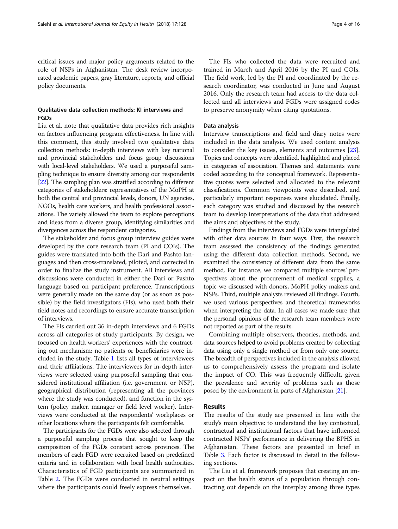critical issues and major policy arguments related to the role of NSPs in Afghanistan. The desk review incorporated academic papers, gray literature, reports, and official policy documents.

## Qualitative data collection methods: KI interviews and FGDs

Liu et al. note that qualitative data provides rich insights on factors influencing program effectiveness. In line with this comment, this study involved two qualitative data collection methods: in-depth interviews with key national and provincial stakeholders and focus group discussions with local-level stakeholders. We used a purposeful sampling technique to ensure diversity among our respondents [[22](#page-15-0)]. The sampling plan was stratified according to different categories of stakeholders: representatives of the MoPH at both the central and provincial levels, donors, UN agencies, NGOs, health care workers, and health professional associations. The variety allowed the team to explore perceptions and ideas from a diverse group, identifying similarities and divergences across the respondent categories.

The stakeholder and focus group interview guides were developed by the core research team (PI and COIs). The guides were translated into both the Dari and Pashto languages and then cross-translated, piloted, and corrected in order to finalize the study instrument. All interviews and discussions were conducted in either the Dari or Pashto language based on participant preference. Transcriptions were generally made on the same day (or as soon as possible) by the field investigators (FIs), who used both their field notes and recordings to ensure accurate transcription of interviews.

The FIs carried out 36 in-depth interviews and 6 FGDs across all categories of study participants. By design, we focused on health workers' experiences with the contracting out mechanism; no patients or beneficiaries were included in the study. Table [1](#page-4-0) lists all types of interviewees and their affiliations. The interviewees for in-depth interviews were selected using purposeful sampling that considered institutional affiliation (i.e. government or NSP), geographical distribution (representing all the provinces where the study was conducted), and function in the system (policy maker, manager or field level worker). Interviews were conducted at the respondents' workplaces or other locations where the participants felt comfortable.

The participants for the FGDs were also selected through a purposeful sampling process that sought to keep the composition of the FGDs constant across provinces. The members of each FGD were recruited based on predefined criteria and in collaboration with local health authorities. Characteristics of FGD participants are summarized in Table [2](#page-4-0). The FGDs were conducted in neutral settings where the participants could freely express themselves.

The FIs who collected the data were recruited and trained in March and April 2016 by the PI and COIs. The field work, led by the PI and coordinated by the research coordinator, was conducted in June and August 2016. Only the research team had access to the data collected and all interviews and FGDs were assigned codes to preserve anonymity when citing quotations.

#### Data analysis

Interview transcriptions and field and diary notes were included in the data analysis. We used content analysis to consider the key issues, elements and outcomes [\[23](#page-15-0)]. Topics and concepts were identified, highlighted and placed in categories of association. Themes and statements were coded according to the conceptual framework. Representative quotes were selected and allocated to the relevant classifications. Common viewpoints were described, and particularly important responses were elucidated. Finally, each category was studied and discussed by the research team to develop interpretations of the data that addressed the aims and objectives of the study.

Findings from the interviews and FGDs were triangulated with other data sources in four ways. First, the research team assessed the consistency of the findings generated using the different data collection methods. Second, we examined the consistency of different data from the same method. For instance, we compared multiple sources' perspectives about the procurement of medical supplies, a topic we discussed with donors, MoPH policy makers and NSPs. Third, multiple analysts reviewed all findings. Fourth, we used various perspectives and theoretical frameworks when interpreting the data. In all cases we made sure that the personal opinions of the research team members were not reported as part of the results.

Combining multiple observers, theories, methods, and data sources helped to avoid problems created by collecting data using only a single method or from only one source. The breadth of perspectives included in the analysis allowed us to comprehensively assess the program and isolate the impact of CO. This was frequently difficult, given the prevalence and severity of problems such as those posed by the environment in parts of Afghanistan [[21](#page-15-0)].

#### Results

The results of the study are presented in line with the study's main objective: to understand the key contextual, contractual and institutional factors that have influenced contracted NSPs' performance in delivering the BPHS in Afghanistan. These factors are presented in brief in Table [3](#page-5-0). Each factor is discussed in detail in the following sections.

The Liu et al. framework proposes that creating an impact on the health status of a population through contracting out depends on the interplay among three types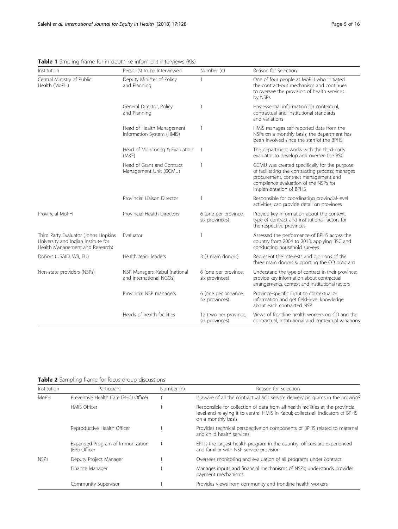| Institution                                                                                                    | Person(s) to be Interviewed                              | Number (n)                              | Reason for Selection                                                                                                                                                                                         |
|----------------------------------------------------------------------------------------------------------------|----------------------------------------------------------|-----------------------------------------|--------------------------------------------------------------------------------------------------------------------------------------------------------------------------------------------------------------|
| Central Ministry of Public<br>Health (MoPH)                                                                    | Deputy Minister of Policy<br>and Planning                | 1                                       | One of four people at MoPH who initiated<br>the contract-out mechanism and continues<br>to oversee the provision of health services<br>by NSPs                                                               |
|                                                                                                                | General Director, Policy<br>and Planning                 |                                         | Has essential information on contextual,<br>contractual and institutional standards<br>and variations                                                                                                        |
|                                                                                                                | Head of Health Management<br>Information System (HMIS)   | 1                                       | HMIS manages self-reported data from the<br>NSPs on a monthly basis; the department has<br>been involved since the start of the BPHS                                                                         |
|                                                                                                                | Head of Monitoring & Evaluation<br>(M&E)                 |                                         | The department works with the third-party<br>evaluator to develop and oversee the BSC                                                                                                                        |
|                                                                                                                | Head of Grant and Contract<br>Management Unit (GCMU)     |                                         | GCMU was created specifically for the purpose<br>of facilitating the contracting process; manages<br>procurement, contract management and<br>compliance evaluation of the NSPs for<br>implementation of BPHS |
|                                                                                                                | Provincial Liaison Director                              |                                         | Responsible for coordinating provincial-level<br>activities; can provide detail on provinces                                                                                                                 |
| Provincial MoPH                                                                                                | Provincial Health Directors                              | 6 (one per province,<br>six provinces)  | Provide key information about the context,<br>type of contract and institutional factors for<br>the respective provinces                                                                                     |
| Third Party Evaluator (Johns Hopkins<br>University and Indian Institute for<br>Health Management and Research) | Evaluator                                                |                                         | Assessed the performance of BPHS across the<br>country from 2004 to 2013, applying BSC and<br>conducting household surveys                                                                                   |
| Donors (USAID, WB, EU)                                                                                         | Health team leaders<br>3 (3 main donors)                 |                                         | Represent the interests and opinions of the<br>three main donors supporting the CO program                                                                                                                   |
| Non-state providers (NSPs)                                                                                     | NSP Managers, Kabul (national<br>and international NGOs) | 6 (one per province,<br>six provinces)  | Understand the type of contract in their province;<br>provide key information about contractual<br>arrangements, context and institutional factors                                                           |
|                                                                                                                | Provincial NSP managers                                  | 6 (one per province,<br>six provinces)  | Province-specific input to contextualize<br>information and get field-level knowledge<br>about each contracted NSP                                                                                           |
|                                                                                                                | Heads of health facilities                               | 12 (two per province,<br>six provinces) | Views of frontline health workers on CO and the<br>contractual, institutional and contextual variations                                                                                                      |

<span id="page-4-0"></span>Table 1 Smpling frame for in depth ke informent interviews (KIs)

Table 2 Sampling frame for focus droup discussions

| Institution      | Participant                                       | Number (n) | Reason for Selection                                                                                                                                                                     |
|------------------|---------------------------------------------------|------------|------------------------------------------------------------------------------------------------------------------------------------------------------------------------------------------|
| MoPH             | Preventive Health Care (PHC) Officer              |            | Is aware of all the contractual and service delivery programs in the province                                                                                                            |
|                  | <b>HMIS Officer</b>                               |            | Responsible for collection of data from all health facilities at the provincial<br>level and relaying it to central HMIS in Kabul; collects all indicators of BPHS<br>on a monthly basis |
|                  | Reproductive Health Officer                       |            | Provides technical perspective on components of BPHS related to maternal<br>and child health services                                                                                    |
|                  | Expanded Program of Immunization<br>(EPI) Officer |            | EPI is the largest health program in the country; officers are experienced<br>and familiar with NSP service provision                                                                    |
| NSP <sub>S</sub> | Deputy Project Manager                            |            | Oversees monitoring and evaluation of all programs under contract                                                                                                                        |
|                  | Finance Manager                                   |            | Manages inputs and financial mechanisms of NSPs; understands provider<br>payment mechanisms                                                                                              |
|                  | <b>Community Supervisor</b>                       |            | Provides views from community and frontline health workers                                                                                                                               |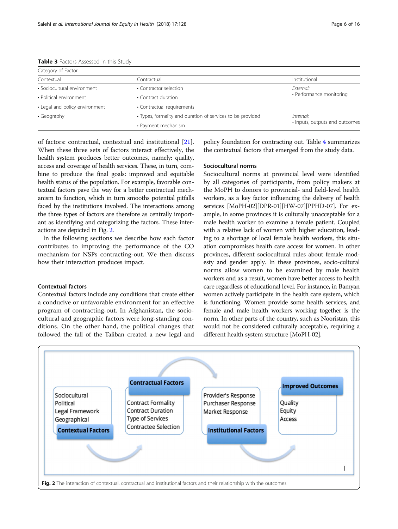| Category of Factor             |                                                            |                                |  |
|--------------------------------|------------------------------------------------------------|--------------------------------|--|
| Contextual                     | Contractual                                                | Institutional                  |  |
| · Sociocultural environment    | • Contractor selection                                     | Fxternal:                      |  |
| • Political environment        | • Contract duration                                        | • Performance monitoring       |  |
| • Legal and policy environment | • Contractual requirements                                 |                                |  |
| • Geography                    | • Types, formality and duration of services to be provided | Internal:                      |  |
|                                | • Payment mechanism                                        | · Inputs, outputs and outcomes |  |

<span id="page-5-0"></span>Table 3 Factors Assessed in this Study

of factors: contractual, contextual and institutional [\[21](#page-15-0)]. When these three sets of factors interact effectively, the health system produces better outcomes, namely: quality, access and coverage of health services. These, in turn, combine to produce the final goals: improved and equitable health status of the population. For example, favorable contextual factors pave the way for a better contractual mechanism to function, which in turn smooths potential pitfalls faced by the institutions involved. The interactions among the three types of factors are therefore as centrally important as identifying and categorizing the factors. These interactions are depicted in Fig. 2.

In the following sections we describe how each factor contributes to improving the performance of the CO mechanism for NSPs contracting-out. We then discuss how their interaction produces impact.

## Contextual factors

Contextual factors include any conditions that create either a conducive or unfavorable environment for an effective program of contracting-out. In Afghanistan, the sociocultural and geographic factors were long-standing conditions. On the other hand, the political changes that followed the fall of the Taliban created a new legal and policy foundation for contracting out. Table [4](#page-6-0) summarizes the contextual factors that emerged from the study data.

#### Sociocultural norms

Sociocultural norms at provincial level were identified by all categories of participants, from policy makers at the MoPH to donors to provincial- and field-level health workers, as a key factor influencing the delivery of health services [MoPH-02][DPR-01][HW-07][PPHD-07]. For example, in some provinces it is culturally unacceptable for a male health worker to examine a female patient. Coupled with a relative lack of women with higher education, leading to a shortage of local female health workers, this situation compromises health care access for women. In other provinces, different sociocultural rules about female modesty and gender apply. In these provinces, socio-cultural norms allow women to be examined by male health workers and as a result, women have better access to health care regardless of educational level. For instance, in Bamyan women actively participate in the health care system, which is functioning. Women provide some health services, and female and male health workers working together is the norm. In other parts of the country, such as Nooristan, this would not be considered culturally acceptable, requiring a different health system structure [MoPH-02].

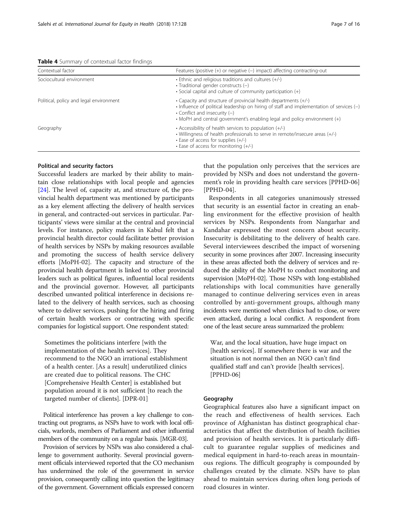<span id="page-6-0"></span>

|  | Table 4 Summary of contextual factor findings |  |
|--|-----------------------------------------------|--|
|  |                                               |  |

| Contextual factor                       | Features (positive $(+)$ or negative $(-)$ impact) affecting contracting-out                                                                                                                                                                                                 |  |  |
|-----------------------------------------|------------------------------------------------------------------------------------------------------------------------------------------------------------------------------------------------------------------------------------------------------------------------------|--|--|
| Sociocultural environment               | $\cdot$ Ethnic and religious traditions and cultures (+/-)<br>$\cdot$ Traditional gender constructs (-)<br>• Social capital and culture of community participation (+)                                                                                                       |  |  |
| Political, policy and legal environment | • Capacity and structure of provincial health departments (+/-)<br>· Influence of political leadership on hiring of staff and implementation of services (-)<br>• Conflict and insecurity $(-)$<br>• MoPH and central government's enabling legal and policy environment (+) |  |  |
| Geography                               | • Accessibility of health services to population $(+/-)$<br>• Willingness of health professionals to serve in remote/insecure areas (+/-)<br>$\cdot$ Ease of access for supplies $(+/-)$<br>$\cdot$ Ease of access for monitoring (+/-)                                      |  |  |

#### Political and security factors

Successful leaders are marked by their ability to maintain close relationships with local people and agencies [[24\]](#page-15-0). The level of, capacity at, and structure of, the provincial health department was mentioned by participants as a key element affecting the delivery of health services in general, and contracted-out services in particular. Participants' views were similar at the central and provincial levels. For instance, policy makers in Kabul felt that a provincial health director could facilitate better provision of health services by NSPs by making resources available and promoting the success of health service delivery efforts [MoPH-02]. The capacity and structure of the provincial health department is linked to other provincial leaders such as political figures, influential local residents and the provincial governor. However, all participants described unwanted political interference in decisions related to the delivery of health services, such as choosing where to deliver services, pushing for the hiring and firing of certain health workers or contracting with specific companies for logistical support. One respondent stated:

Sometimes the politicians interfere [with the implementation of the health services]. They recommend to the NGO an irrational establishment of a health center. [As a result] underutilized clinics are created due to political reasons. The CHC [Comprehensive Health Center] is established but population around it is not sufficient [to reach the targeted number of clients]. [DPR-01]

Political interference has proven a key challenge to contracting out programs, as NSPs have to work with local officials, warlords, members of Parliament and other influential members of the community on a regular basis. [MGR-03].

Provision of services by NSPs was also considered a challenge to government authority. Several provincial government officials interviewed reported that the CO mechanism has undermined the role of the government in service provision, consequently calling into question the legitimacy of the government. Government officials expressed concern that the population only perceives that the services are provided by NSPs and does not understand the government's role in providing health care services [PPHD-06] [PPHD-04].

Respondents in all categories unanimously stressed that security is an essential factor in creating an enabling environment for the effective provision of health services by NSPs. Respondents from Nangarhar and Kandahar expressed the most concern about security. Insecurity is debilitating to the delivery of health care. Several interviewees described the impact of worsening security in some provinces after 2007. Increasing insecurity in these areas affected both the delivery of services and reduced the ability of the MoPH to conduct monitoring and supervision [MoPH-02]. Those NSPs with long-established relationships with local communities have generally managed to continue delivering services even in areas controlled by anti-government groups, although many incidents were mentioned when clinics had to close, or were even attacked, during a local conflict. A respondent from one of the least secure areas summarized the problem:

War, and the local situation, have huge impact on [health services]. If somewhere there is war and the situation is not normal then an NGO can't find qualified staff and can't provide [health services]. [PPHD-06]

#### Geography

Geographical features also have a significant impact on the reach and effectiveness of health services. Each province of Afghanistan has distinct geographical characteristics that affect the distribution of health facilities and provision of health services. It is particularly difficult to guarantee regular supplies of medicines and medical equipment in hard-to-reach areas in mountainous regions. The difficult geography is compounded by challenges created by the climate. NSPs have to plan ahead to maintain services during often long periods of road closures in winter.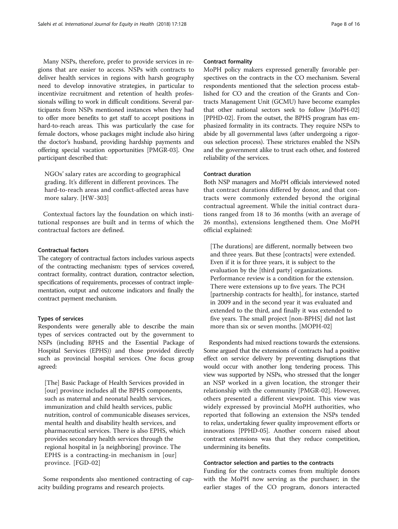Many NSPs, therefore, prefer to provide services in regions that are easier to access. NSPs with contracts to deliver health services in regions with harsh geography need to develop innovative strategies, in particular to incentivize recruitment and retention of health professionals willing to work in difficult conditions. Several participants from NSPs mentioned instances when they had to offer more benefits to get staff to accept positions in hard-to-reach areas. This was particularly the case for female doctors, whose packages might include also hiring the doctor's husband, providing hardship payments and offering special vacation opportunities [PMGR-03]. One participant described that:

NGOs' salary rates are according to geographical grading. It's different in different provinces. The hard-to-reach areas and conflict-affected areas have more salary. [HW-303]

Contextual factors lay the foundation on which institutional responses are built and in terms of which the contractual factors are defined.

#### Contractual factors

The category of contractual factors includes various aspects of the contracting mechanism: types of services covered, contract formality, contract duration, contractor selection, specifications of requirements, processes of contract implementation, output and outcome indicators and finally the contract payment mechanism.

## Types of services

Respondents were generally able to describe the main types of services contracted out by the government to NSPs (including BPHS and the Essential Package of Hospital Services (EPHS)) and those provided directly such as provincial hospital services. One focus group agreed:

[The] Basic Package of Health Services provided in [our] province includes all the BPHS components, such as maternal and neonatal health services, immunization and child health services, public nutrition, control of communicable diseases services, mental health and disability health services, and pharmaceutical services. There is also EPHS, which provides secondary health services through the regional hospital in [a neighboring] province. The EPHS is a contracting-in mechanism in [our] province. [FGD-02]

Some respondents also mentioned contracting of capacity building programs and research projects.

#### Contract formality

MoPH policy makers expressed generally favorable perspectives on the contracts in the CO mechanism. Several respondents mentioned that the selection process established for CO and the creation of the Grants and Contracts Management Unit (GCMU) have become examples that other national sectors seek to follow [MoPH-02] [PPHD-02]. From the outset, the BPHS program has emphasized formality in its contracts. They require NSPs to abide by all governmental laws (after undergoing a rigorous selection process). These strictures enabled the NSPs and the government alike to trust each other, and fostered reliability of the services.

## Contract duration

Both NSP managers and MoPH officials interviewed noted that contract durations differed by donor, and that contracts were commonly extended beyond the original contractual agreement. While the initial contract durations ranged from 18 to 36 months (with an average of 26 months), extensions lengthened them. One MoPH official explained:

[The durations] are different, normally between two and three years. But these [contracts] were extended. Even if it is for three years, it is subject to the evaluation by the [third party] organizations. Performance review is a condition for the extension. There were extensions up to five years. The PCH [partnership contracts for health], for instance, started in 2009 and in the second year it was evaluated and extended to the third, and finally it was extended to five years. The small project [non-BPHS] did not last more than six or seven months. [MOPH-02]

Respondents had mixed reactions towards the extensions. Some argued that the extensions of contracts had a positive effect on service delivery by preventing disruptions that would occur with another long tendering process. This view was supported by NSPs, who stressed that the longer an NSP worked in a given location, the stronger their relationship with the community [PMGR-02]. However, others presented a different viewpoint. This view was widely expressed by provincial MoPH authorities, who reported that following an extension the NSPs tended to relax, undertaking fewer quality improvement efforts or innovations [PPHD-05]. Another concern raised about contract extensions was that they reduce competition, undermining its benefits.

#### Contractor selection and parties to the contracts

Funding for the contracts comes from multiple donors with the MoPH now serving as the purchaser; in the earlier stages of the CO program, donors interacted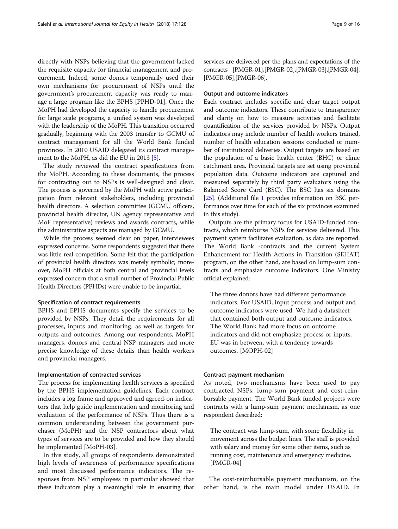directly with NSPs believing that the government lacked the requisite capacity for financial management and procurement. Indeed, some donors temporarily used their own mechanisms for procurement of NSPs until the government's procurement capacity was ready to manage a large program like the BPHS [PPHD-01]. Once the MoPH had developed the capacity to handle procurement for large scale programs, a unified system was developed with the leadership of the MoPH. This transition occurred gradually, beginning with the 2003 transfer to GCMU of contract management for all the World Bank funded provinces. In 2010 USAID delegated its contract manage-ment to the MoPH, as did the EU in 2013 [[5\]](#page-15-0).

The study reviewed the contract specifications from the MoPH. According to these documents, the process for contracting out to NSPs is well-designed and clear. The process is governed by the MoPH with active participation from relevant stakeholders, including provincial health directors. A selection committee (GCMU officers, provincial health director, UN agency representative and MoF representative) reviews and awards contracts, while the administrative aspects are managed by GCMU.

While the process seemed clear on paper, interviewees expressed concerns. Some respondents suggested that there was little real competition. Some felt that the participation of provincial health directors was merely symbolic; moreover, MoPH officials at both central and provincial levels expressed concern that a small number of Provincial Public Health Directors (PPHDs) were unable to be impartial.

#### Specification of contract requirements

BPHS and EPHS documents specify the services to be provided by NSPs. They detail the requirements for all processes, inputs and monitoring, as well as targets for outputs and outcomes. Among our respondents, MoPH managers, donors and central NSP managers had more precise knowledge of these details than health workers and provincial managers.

## Implementation of contracted services

The process for implementing health services is specified by the BPHS implementation guidelines. Each contract includes a log frame and approved and agreed-on indicators that help guide implementation and monitoring and evaluation of the performance of NSPs. Thus there is a common understanding between the government purchaser (MoPH) and the NSP contractors about what types of services are to be provided and how they should be implemented [MoPH-03].

In this study, all groups of respondents demonstrated high levels of awareness of performance specifications and most discussed performance indicators. The responses from NSP employees in particular showed that these indicators play a meaningful role in ensuring that services are delivered per the plans and expectations of the contracts [PMGR-01],[PMGR-02],[PMGR-03],[PMGR-04], [PMGR-05],[PMGR-06].

## Output and outcome indicators

Each contract includes specific and clear target output and outcome indicators. These contribute to transparency and clarity on how to measure activities and facilitate quantification of the services provided by NSPs. Output indicators may include number of health workers trained, number of health education sessions conducted or number of institutional deliveries. Output targets are based on the population of a basic health center (BHC) or clinic catchment area. Provincial targets are set using provincial population data. Outcome indicators are captured and measured separately by third party evaluators using the Balanced Score Card (BSC). The BSC has six domains [[25](#page-15-0)]. (Additional file [1](#page-14-0) provides information on BSC performance over time for each of the six provinces examined in this study).

Outputs are the primary focus for USAID-funded contracts, which reimburse NSPs for services delivered. This payment system facilitates evaluation, as data are reported. The World Bank -contracts and the current System Enhancement for Health Actions in Transition (SEHAT) program, on the other hand, are based on lump-sum contracts and emphasize outcome indicators. One Ministry official explained:

The three donors have had different performance indicators. For USAID, input process and output and outcome indicators were used. We had a datasheet that contained both output and outcome indicators. The World Bank had more focus on outcome indicators and did not emphasize process or inputs. EU was in between, with a tendency towards outcomes. [MOPH-02]

#### Contract payment mechanism

As noted, two mechanisms have been used to pay contracted NSPs: lump-sum payment and cost-reimbursable payment. The World Bank funded projects were contracts with a lump-sum payment mechanism, as one respondent described:

The contract was lump-sum, with some flexibility in movement across the budget lines. The staff is provided with salary and money for some other items, such as running cost, maintenance and emergency medicine. [PMGR-04]

The cost-reimbursable payment mechanism, on the other hand, is the main model under USAID. In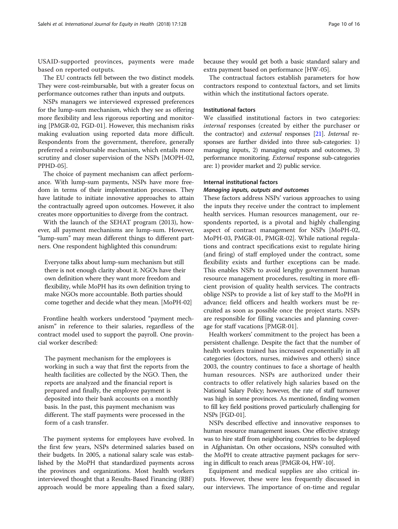USAID-supported provinces, payments were made based on reported outputs.

The EU contracts fell between the two distinct models. They were cost-reimbursable, but with a greater focus on performance outcomes rather than inputs and outputs.

NSPs managers we interviewed expressed preferences for the lump-sum mechanism, which they see as offering more flexibility and less rigorous reporting and monitoring [PMGR-02, FGD-01]. However, this mechanism risks making evaluation using reported data more difficult. Respondents from the government, therefore, generally preferred a reimbursable mechanism, which entails more scrutiny and closer supervision of the NSPs [MOPH-02, PPHD-05].

The choice of payment mechanism can affect performance. With lump-sum payments, NSPs have more freedom in terms of their implementation processes. They have latitude to initiate innovative approaches to attain the contractually agreed upon outcomes. However, it also creates more opportunities to diverge from the contract.

With the launch of the SEHAT program (2013), however, all payment mechanisms are lump-sum. However, "lump-sum" may mean different things to different partners. One respondent highlighted this conundrum:

Everyone talks about lump-sum mechanism but still there is not enough clarity about it. NGOs have their own definition where they want more freedom and flexibility, while MoPH has its own definition trying to make NGOs more accountable. Both parties should come together and decide what they mean. [MoPH-02]

Frontline health workers understood "payment mechanism" in reference to their salaries, regardless of the contract model used to support the payroll. One provincial worker described:

The payment mechanism for the employees is working in such a way that first the reports from the health facilities are collected by the NGO. Then, the reports are analyzed and the financial report is prepared and finally, the employee payment is deposited into their bank accounts on a monthly basis. In the past, this payment mechanism was different. The staff payments were processed in the form of a cash transfer.

The payment systems for employees have evolved. In the first few years, NSPs determined salaries based on their budgets. In 2005, a national salary scale was established by the MoPH that standardized payments across the provinces and organizations. Most health workers interviewed thought that a Results-Based Financing (RBF) approach would be more appealing than a fixed salary,

because they would get both a basic standard salary and extra payment based on performance [HW-05].

The contractual factors establish parameters for how contractors respond to contextual factors, and set limits within which the institutional factors operate.

## Institutional factors

We classified institutional factors in two categories: internal responses (created by either the purchaser or the contractor) and external responses [\[21](#page-15-0)]. Internal responses are further divided into three sub-categories: 1) managing inputs, 2) managing outputs and outcomes, 3) performance monitoring. External response sub-categories are: 1) provider market and 2) public service.

#### Internal institutional factors

#### Managing inputs, outputs and outcomes

These factors address NSPs' various approaches to using the inputs they receive under the contract to implement health services. Human resources management, our respondents reported, is a pivotal and highly challenging aspect of contract management for NSPs [MoPH-02, MoPH-03, PMGR-01, PMGR-02]. While national regulations and contract specifications exist to regulate hiring (and firing) of staff employed under the contract, some flexibility exists and further exceptions can be made. This enables NSPs to avoid lengthy government human resource management procedures, resulting in more efficient provision of quality health services. The contracts oblige NSPs to provide a list of key staff to the MoPH in advance; field officers and health workers must be recruited as soon as possible once the project starts. NSPs are responsible for filling vacancies and planning coverage for staff vacations [PMGR-01].

Health workers' commitment to the project has been a persistent challenge. Despite the fact that the number of health workers trained has increased exponentially in all categories (doctors, nurses, midwives and others) since 2003, the country continues to face a shortage of health human resources. NSPs are authorized under their contracts to offer relatively high salaries based on the National Salary Policy; however, the rate of staff turnover was high in some provinces. As mentioned, finding women to fill key field positions proved particularly challenging for NSPs [FGD-01].

NSPs described effective and innovative responses to human resource management issues. One effective strategy was to hire staff from neighboring countries to be deployed in Afghanistan. On other occasions, NSPs consulted with the MoPH to create attractive payment packages for serving in difficult to reach areas [PMGR-04, HW-10].

Equipment and medical supplies are also critical inputs. However, these were less frequently discussed in our interviews. The importance of on-time and regular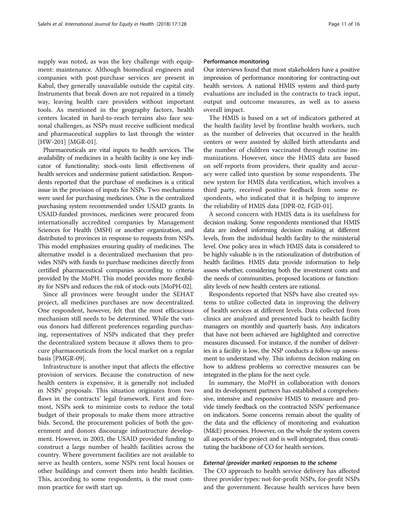supply was noted, as was the key challenge with equipment: maintenance. Although biomedical engineers and companies with post-purchase services are present in Kabul, they generally unavailable outside the capital city. Instruments that break down are not repaired in a timely way, leaving health care providers without important tools. As mentioned in the geography factors, health centers located in hard-to-reach terrains also face seasonal challenges, as NSPs must receive sufficient medical and pharmaceutical supplies to last through the winter [HW-201] [MGR-01].

Pharmaceuticals are vital inputs to health services. The availability of medicines in a health facility is one key indicator of functionality; stock-outs limit effectiveness of health services and undermine patient satisfaction. Respondents reported that the purchase of medicines is a critical issue in the provision of inputs for NSPs. Two mechanisms were used for purchasing medicines. One is the centralized purchasing system recommended under USAID grants. In USAID-funded provinces, medicines were procured from internationally accredited companies by Management Sciences for Health (MSH) or another organization, and distributed to provinces in response to requests from NSPs. This model emphasizes ensuring quality of medicines. The alternative model is a decentralized mechanism that provides NSPs with funds to purchase medicines directly from certified pharmaceutical companies according to criteria provided by the MoPH. This model provides more flexibility for NSPs and reduces the risk of stock-outs [MoPH-02].

Since all provinces were brought under the SEHAT project, all medicines purchases are now decentralized. One respondent, however, felt that the most efficacious mechanism still needs to be determined. While the various donors had different preferences regarding purchasing, representatives of NSPs indicated that they prefer the decentralized system because it allows them to procure pharmaceuticals from the local market on a regular basis [PMGR-09].

Infrastructure is another input that affects the effective provision of services. Because the construction of new health centers is expensive, it is generally not included in NSPs' proposals. This situation originates from two flaws in the contracts' legal framework. First and foremost, NSPs seek to minimize costs to reduce the total budget of their proposals to make them more attractive bids. Second, the procurement policies of both the government and donors discourage infrastructure development. However, in 2003, the USAID provided funding to construct a large number of health facilities across the country. Where government facilities are not available to serve as health centers, some NSPs rent local houses or other buildings and convert them into health facilities. This, according to some respondents, is the most common practice for swift start up.

#### Performance monitoring

Our interviews found that most stakeholders have a positive impression of performance monitoring for contracting-out health services. A national HMIS system and third-party evaluations are included in the contracts to track input, output and outcome measures, as well as to assess overall impact.

The HMIS is based on a set of indicators gathered at the health facility level by frontline health workers, such as the number of deliveries that occurred in the health centers or were assisted by skilled birth attendants and the number of children vaccinated through routine immunizations. However, since the HMIS data are based on self-reports from providers, their quality and accuracy were called into question by some respondents. The new system for HMIS data verification, which involves a third party, received positive feedback from some respondents, who indicated that it is helping to improve the reliability of HMIS data [DPR-02, FGD-01].

A second concern with HMIS data is its usefulness for decision making. Some respondents mentioned that HMIS data are indeed informing decision making at different levels, from the individual health facility to the ministerial level. One policy area in which HMIS data is considered to be highly valuable is in the rationalization of distribution of health facilities. HMIS data provide information to help assess whether, considering both the investment costs and the needs of communities, proposed locations or functionality levels of new health centers are rational.

Respondents reported that NSPs have also created systems to utilize collected data in improving the delivery of health services at different levels. Data collected from clinics are analyzed and presented back to health facility managers on monthly and quarterly basis. Any indicators that have not been achieved are highlighted and corrective measures discussed. For instance, if the number of deliveries in a facility is low, the NSP conducts a follow-up assessment to understand why. This informs decision making on how to address problems so corrective measures can be integrated in the plans for the next cycle.

In summary, the MoPH in collaboration with donors and its development partners has established a comprehensive, intensive and responsive HMIS to measure and provide timely feedback on the contracted NSPs' performance on indicators. Some concerns remain about the quality of the data and the efficiency of monitoring and evaluation (M&E) processes. However, on the whole the system covers all aspects of the project and is well integrated, thus constituting the backbone of CO for health services.

#### External (provider market) responses to the scheme

The CO approach to health service delivery has affected three provider types: not-for-profit NSPs, for-profit NSPs and the government. Because health services have been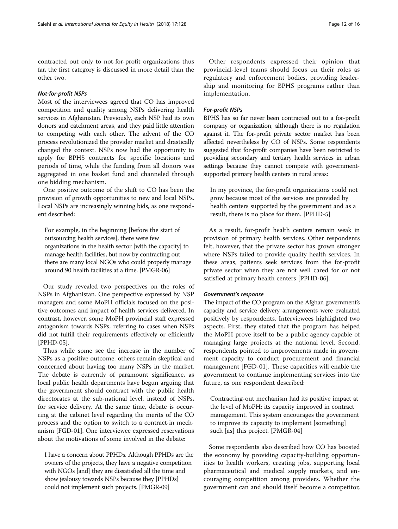contracted out only to not-for-profit organizations thus far, the first category is discussed in more detail than the other two.

#### Not-for-profit NSPs

Most of the interviewees agreed that CO has improved competition and quality among NSPs delivering health services in Afghanistan. Previously, each NSP had its own donors and catchment areas, and they paid little attention to competing with each other. The advent of the CO process revolutionized the provider market and drastically changed the context. NSPs now had the opportunity to apply for BPHS contracts for specific locations and periods of time, while the funding from all donors was aggregated in one basket fund and channeled through one bidding mechanism.

One positive outcome of the shift to CO has been the provision of growth opportunities to new and local NSPs. Local NSPs are increasingly winning bids, as one respondent described:

For example, in the beginning [before the start of outsourcing health services], there were few organizations in the health sector [with the capacity] to manage health facilities, but now by contracting out there are many local NGOs who could properly manage around 90 health facilities at a time. [PMGR-06]

Our study revealed two perspectives on the roles of NSPs in Afghanistan. One perspective expressed by NSP managers and some MoPH officials focused on the positive outcomes and impact of health services delivered. In contrast, however, some MoPH provincial staff expressed antagonism towards NSPs, referring to cases when NSPs did not fulfill their requirements effectively or efficiently [PPHD-05].

Thus while some see the increase in the number of NSPs as a positive outcome, others remain skeptical and concerned about having too many NSPs in the market. The debate is currently of paramount significance, as local public health departments have begun arguing that the government should contract with the public health directorates at the sub-national level, instead of NSPs, for service delivery. At the same time, debate is occurring at the cabinet level regarding the merits of the CO process and the option to switch to a contract-in mechanism [FGD-01]. One interviewee expressed reservations about the motivations of some involved in the debate:

I have a concern about PPHDs. Although PPHDs are the owners of the projects, they have a negative competition with NGOs [and] they are dissatisfied all the time and show jealousy towards NSPs because they [PPHDs] could not implement such projects. [PMGR-09]

## For-profit NSPs

BPHS has so far never been contracted out to a for-profit company or organization, although there is no regulation against it. The for-profit private sector market has been affected nevertheless by CO of NSPs. Some respondents suggested that for-profit companies have been restricted to providing secondary and tertiary health services in urban settings because they cannot compete with governmentsupported primary health centers in rural areas:

In my province, the for-profit organizations could not grow because most of the services are provided by health centers supported by the government and as a result, there is no place for them. [PPHD-5]

As a result, for-profit health centers remain weak in provision of primary health services. Other respondents felt, however, that the private sector has grown stronger where NSPs failed to provide quality health services. In these areas, patients seek services from the for-profit private sector when they are not well cared for or not satisfied at primary health centers [PPHD-06].

#### Government's response

The impact of the CO program on the Afghan government's capacity and service delivery arrangements were evaluated positively by respondents. Interviewees highlighted two aspects. First, they stated that the program has helped the MoPH prove itself to be a public agency capable of managing large projects at the national level. Second, respondents pointed to improvements made in government capacity to conduct procurement and financial management [FGD-01]. These capacities will enable the government to continue implementing services into the future, as one respondent described:

Contracting-out mechanism had its positive impact at the level of MoPH: its capacity improved in contract management. This system encourages the government to improve its capacity to implement [something] such [as] this project. [PMGR-04]

Some respondents also described how CO has boosted the economy by providing capacity-building opportunities to health workers, creating jobs, supporting local pharmaceutical and medical supply markets, and encouraging competition among providers. Whether the government can and should itself become a competitor,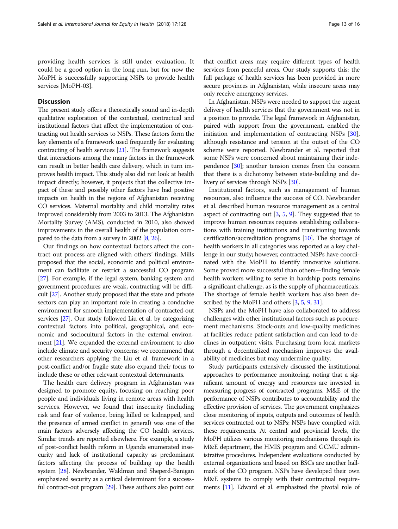providing health services is still under evaluation. It could be a good option in the long run, but for now the MoPH is successfully supporting NSPs to provide health services [MoPH-03].

## **Discussion**

The present study offers a theoretically sound and in-depth qualitative exploration of the contextual, contractual and institutional factors that affect the implementation of contracting out health services to NSPs. These factors form the key elements of a framework used frequently for evaluating contracting of health services [\[21\]](#page-15-0). The framework suggests that interactions among the many factors in the framework can result in better health care delivery, which in turn improves health impact. This study also did not look at health impact directly; however, it projects that the collective impact of these and possibly other factors have had positive impacts on health in the regions of Afghanistan receiving CO services. Maternal mortality and child mortality rates improved considerably from 2003 to 2013. The Afghanistan Mortality Survey (AMS), conducted in 2010, also showed improvements in the overall health of the population compared to the data from a survey in 2002 [\[8,](#page-15-0) [26\]](#page-15-0).

Our findings on how contextual factors affect the contract out process are aligned with others' findings. Mills proposed that the social, economic and political environment can facilitate or restrict a successful CO program [[27](#page-15-0)]. For example, if the legal system, banking system and government procedures are weak, contracting will be difficult [\[27\]](#page-15-0). Another study proposed that the state and private sectors can play an important role in creating a conducive environment for smooth implementation of contracted-out services [\[27\]](#page-15-0). Our study followed Liu et al. by categorizing contextual factors into political, geographical, and economic and sociocultural factors in the external environment [[21\]](#page-15-0). We expanded the external environment to also include climate and security concerns; we recommend that other researchers applying the Liu et al. framework in a post-conflict and/or fragile state also expand their focus to include these or other relevant contextual determinants.

The health care delivery program in Afghanistan was designed to promote equity, focusing on reaching poor people and individuals living in remote areas with health services. However, we found that insecurity (including risk and fear of violence, being killed or kidnapped, and the presence of armed conflict in general) was one of the main factors adversely affecting the CO health services. Similar trends are reported elsewhere. For example, a study of post-conflict health reform in Uganda enumerated insecurity and lack of institutional capacity as predominant factors affecting the process of building up the health system [\[28\]](#page-15-0). Newbrander, Waldman and Sheperd-Banigan emphasized security as a critical determinant for a successful contract-out program [\[29\]](#page-15-0). These authors also point out that conflict areas may require different types of health services from peaceful areas. Our study supports this: the full package of health services has been provided in more secure provinces in Afghanistan, while insecure areas may only receive emergency services.

In Afghanistan, NSPs were needed to support the urgent delivery of health services that the government was not in a position to provide. The legal framework in Afghanistan, paired with support from the government, enabled the initiation and implementation of contracting NSPs [[30](#page-15-0)], although resistance and tension at the outset of the CO scheme were reported. Newbrander et al. reported that some NSPs were concerned about maintaining their independence [\[30\]](#page-15-0); another tension comes from the concern that there is a dichotomy between state-building and delivery of services through NSPs [[30\]](#page-15-0).

Institutional factors, such as management of human resources, also influence the success of CO. Newbrander et al. described human resource management as a central aspect of contracting out  $[3, 5, 9]$  $[3, 5, 9]$  $[3, 5, 9]$  $[3, 5, 9]$  $[3, 5, 9]$ . They suggested that to improve human resources requires establishing collaborations with training institutions and transitioning towards certification/accreditation programs [[10](#page-15-0)]. The shortage of health workers in all categories was reported as a key challenge in our study; however, contracted NSPs have coordinated with the MoPH to identify innovative solutions. Some proved more successful than others—finding female health workers willing to serve in hardship posts remains a significant challenge, as is the supply of pharmaceuticals. The shortage of female health workers has also been de-scribed by the MoPH and others [[3,](#page-15-0) [5](#page-15-0), [9,](#page-15-0) [31\]](#page-15-0).

NSPs and the MoPH have also collaborated to address challenges with other institutional factors such as procurement mechanisms. Stock-outs and low-quality medicines at facilities reduce patient satisfaction and can lead to declines in outpatient visits. Purchasing from local markets through a decentralized mechanism improves the availability of medicines but may undermine quality.

Study participants extensively discussed the institutional approaches to performance monitoring, noting that a significant amount of energy and resources are invested in measuring progress of contracted programs. M&E of the performance of NSPs contributes to accountability and the effective provision of services. The government emphasizes close monitoring of inputs, outputs and outcomes of health services contracted out to NSPs; NSPs have complied with these requirements. At central and provincial levels, the MoPH utilizes various monitoring mechanisms through its M&E department, the HMIS program and GCMU administrative procedures. Independent evaluations conducted by external organizations and based on BSCs are another hallmark of the CO program. NSPs have developed their own M&E systems to comply with their contractual requirements [\[11\]](#page-15-0). Edward et al. emphasized the pivotal role of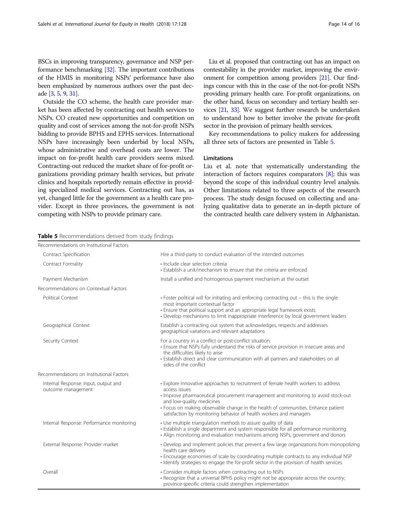BSCs in improving transparency, governance and NSP performance benchmarking [\[32\]](#page-15-0). The important contributions of the HMIS in monitoring NSPs' performance have also been emphasized by numerous authors over the past decade [[3,](#page-15-0) [5,](#page-15-0) [9](#page-15-0), [31](#page-15-0)].

Outside the CO scheme, the health care provider market has been affected by contracting out health services to NSPs. CO created new opportunities and competition on quality and cost of services among the not-for-profit NSPs bidding to provide BPHS and EPHS services. International NSPs have increasingly been underbid by local NSPs, whose administrative and overhead costs are lower. The impact on for-profit health care providers seems mixed. Contracting-out reduced the market share of for-profit organizations providing primary health services, but private clinics and hospitals reportedly remain effective in providing specialized medical services. Contracting out has, as yet, changed little for the government as a health care provider. Except in three provinces, the government is not competing with NSPs to provide primary care.

Liu et al. proposed that contracting out has an impact on contestability in the provider market, improving the environment for competition among providers [\[21](#page-15-0)]. Our findings concur with this in the case of the not-for-profit NSPs providing primary health care. For-profit organizations, on the other hand, focus on secondary and tertiary health services [\[21,](#page-15-0) [33\]](#page-15-0). We suggest further research be undertaken to understand how to better involve the private for-profit sector in the provision of primary health services.

Key recommendations to policy makers for addressing all three sets of factors are presented in Table 5.

#### Limitations

Liu et al. note that systematically understanding the interaction of factors requires comparators [[8\]](#page-15-0); this was beyond the scope of this individual country level analysis. Other limitations related to three aspects of the research process. The study design focused on collecting and analyzing qualitative data to generate an in-depth picture of the contracted health care delivery system in Afghanistan.

| Table 5 Recommendations derived from study findings |  |  |
|-----------------------------------------------------|--|--|

| Recommendations on Institutional Factors                   |                                                                                                                                                                                                                                                                                                                                                                                  |
|------------------------------------------------------------|----------------------------------------------------------------------------------------------------------------------------------------------------------------------------------------------------------------------------------------------------------------------------------------------------------------------------------------------------------------------------------|
| Contract Specification                                     | Hire a third-party to conduct evaluation of the intended outcomes                                                                                                                                                                                                                                                                                                                |
| Contract Formality                                         | · Include clear selection criteria<br>• Establish a unit/mechanism to ensure that the criteria are enforced                                                                                                                                                                                                                                                                      |
| Payment Mechanism                                          | Install a unified and homogenous payment mechanism at the outset                                                                                                                                                                                                                                                                                                                 |
| Recommendations on Contextual Factors                      |                                                                                                                                                                                                                                                                                                                                                                                  |
| Political Context                                          | • Foster political will for initiating and enforcing contracting out – this is the single<br>most important contextual factor<br>• Ensure that political support and an appropriate legal framework exists<br>• Develop mechanisms to limit inappropriate interference by local government leaders                                                                               |
| Geographical Context                                       | Establish a contracting out system that acknowledges, respects and addresses<br>geographical variations and relevant adaptations                                                                                                                                                                                                                                                 |
| Security Context                                           | For a country in a conflict or post-conflict situation:<br>• Ensure that NSPs fully understand the risks of service provision in insecure areas and<br>the difficulties likely to arise<br>• Establish direct and clear communication with all partners and stakeholders on all<br>sides of the conflict                                                                         |
| Recommendations on Institutional Factors                   |                                                                                                                                                                                                                                                                                                                                                                                  |
| Internal Response: Input, output and<br>outcome management | • Explore innovative approaches to recruitment of female health workers to address<br>access issues<br>· Improve pharmaceutical procurement management and monitoring to avoid stock-out<br>and low-quality medicines<br>• Focus on making observable change in the health of communities. Enhance patient<br>satisfaction by monitoring behavior of health workers and managers |
| Internal Response: Performance monitoring                  | • Use multiple triangulation methods to assure quality of data<br>• Establish a single department and system responsible for all performance monitoring<br>• Align monitoring and evaluation mechanisms among NSPs, government and donors                                                                                                                                        |
| External Response: Provider market                         | • Develop and implement policies that prevent a few large organizations from monopolizing<br>health care delivery<br>• Encourage economies of scale by coordinating multiple contracts to any individual NSP<br>· Identify strategies to engage the for-profit sector in the provision of health services                                                                        |
| Overall                                                    | • Consider multiple factors when contracting out to NSPs<br>• Recognize that a universal BPHS policy might not be appropriate across the country;<br>province-specific criteria could strengthen implementation                                                                                                                                                                  |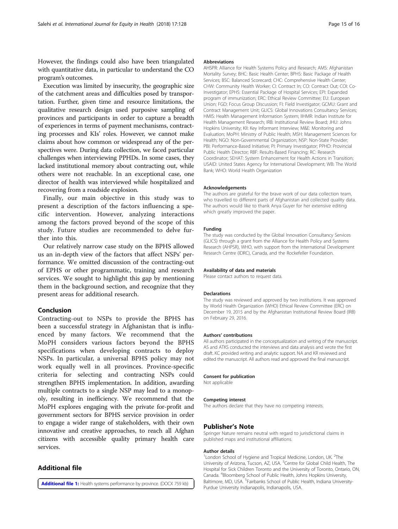<span id="page-14-0"></span>However, the findings could also have been triangulated with quantitative data, in particular to understand the CO program's outcomes.

Execution was limited by insecurity, the geographic size of the catchment areas and difficulties posed by transportation. Further, given time and resource limitations, the qualitative research design used purposive sampling of provinces and participants in order to capture a breadth of experiences in terms of payment mechanisms, contracting processes and KIs' roles. However, we cannot make claims about how common or widespread any of the perspectives were. During data collection, we faced particular challenges when interviewing PPHDs. In some cases, they lacked institutional memory about contracting out, while others were not reachable. In an exceptional case, one director of health was interviewed while hospitalized and recovering from a roadside explosion.

Finally, our main objective in this study was to present a description of the factors influencing a specific intervention. However, analyzing interactions among the factors proved beyond of the scope of this study. Future studies are recommended to delve further into this.

Our relatively narrow case study on the BPHS allowed us an in-depth view of the factors that affect NSPs' performance. We omitted discussion of the contracting-out of EPHS or other programmatic, training and research services. We sought to highlight this gap by mentioning them in the background section, and recognize that they present areas for additional research.

## Conclusion

Contracting-out to NSPs to provide the BPHS has been a successful strategy in Afghanistan that is influenced by many factors. We recommend that the MoPH considers various factors beyond the BPHS specifications when developing contracts to deploy NSPs. In particular, a universal BPHS policy may not work equally well in all provinces. Province-specific criteria for selecting and contracting NSPs could strengthen BPHS implementation. In addition, awarding multiple contracts to a single NSP may lead to a monopoly, resulting in inefficiency. We recommend that the MoPH explores engaging with the private for-profit and government sectors for BPHS service provision in order to engage a wider range of stakeholders, with their own innovative and creative approaches, to reach all Afghan citizens with accessible quality primary health care services.

## Additional file

[Additional file 1:](https://doi.org/10.1186/s12939-018-0847-4) Health systems performance by province. (DOCX 759 kb)

## Abbreviations

AHSPR: Alliance for Health Systems Policy and Research; AMS: Afghanistan Mortality Survey; BHC: Basic Health Center; BPHS: Basic Package of Health Services; BSC: Balanced Scorecard; CHC: Comprehensive Health Center; CHW: Community Health Worker; CI: Contract In; CO: Contract Out; COI: Co-Investigator; EPHS: Essential Package of Hospital Services; EPI: Expanded program of immunization; ERC: Ethical Review Committee; EU: European Union; FGD: Focus Group Discussion; FI: Field Investigator; GCMU: Grant and Contract Management Unit; GLICS: Global Innovations Consultancy Services; HMIS: Health Management Information System; IIHMR: Indian Institute for Health Management Research; IRB: Institutional Review Board; JHU: Johns Hopkins University; KII: Key Informant Interview; M&E: Monitoring and Evaluation; MoPH: Ministry of Public Health; MSH: Management Sciences for Health; NGO: Non-Governmental Organization; NSP: Non-State Provider; PBI: Performance-Based Initiative; PI: Primary Investigator; PPHD: Provincial Public Health Director; RBF: Results-Based Financing; RC: Research Coordinator; SEHAT: System Enhancement for Health Actions in Transition; USAID: United States Agency for International Development; WB: The World Bank; WHO: World Health Organization

#### Acknowledgements

The authors are grateful for the brave work of our data collection team, who travelled to different parts of Afghanistan and collected quality data. The authors would like to thank Anya Guyer for her extensive editing which greatly improved the paper.

#### Funding

The study was conducted by the Global Innovation Consultancy Services (GLICS) through a grant from the Alliance for Health Policy and Systems Research (AHPSR), WHO, with support from the International Development Research Centre (IDRC), Canada, and the Rockefeller Foundation.

#### Availability of data and materials

Please contact authors to request data.

#### Declarations

The study was reviewed and approved by two institutions. It was approved by World Health Organization (WHO) Ethical Review Committee (ERC) on December 19, 2015 and by the Afghanistan Institutional Review Board (IRB) on February 29, 2016.

#### Authors' contributions

All authors participated in the conceptualization and writing of the manuscript. AS and ATKS conducted the interviews and data analysis and wrote the first draft. KC provided writing and analytic support. NA and KR reviewed and edited the manuscript. All authors read and approved the final manuscript.

#### Consent for publication

Not applicable

#### Competing interest

The authors declare that they have no competing interests.

#### Publisher's Note

Springer Nature remains neutral with regard to jurisdictional claims in published maps and institutional affiliations.

#### Author details

<sup>1</sup> London School of Hygiene and Tropical Medicine, London, UK. <sup>2</sup>The University of Arizona, Tucson, AZ, USA. <sup>3</sup>Centre for Global Child Health, The Hospital for Sick Children Toronto and the University of Toronto, Ontario, ON, Canada. <sup>4</sup> Bloomberg School of Public Health, Johns Hopkins University, Baltimore, MD, USA.<sup>5</sup> Fairbanks School of Public Health, Indiana University-Purdue University Indianapolis, Indianapolis, USA.